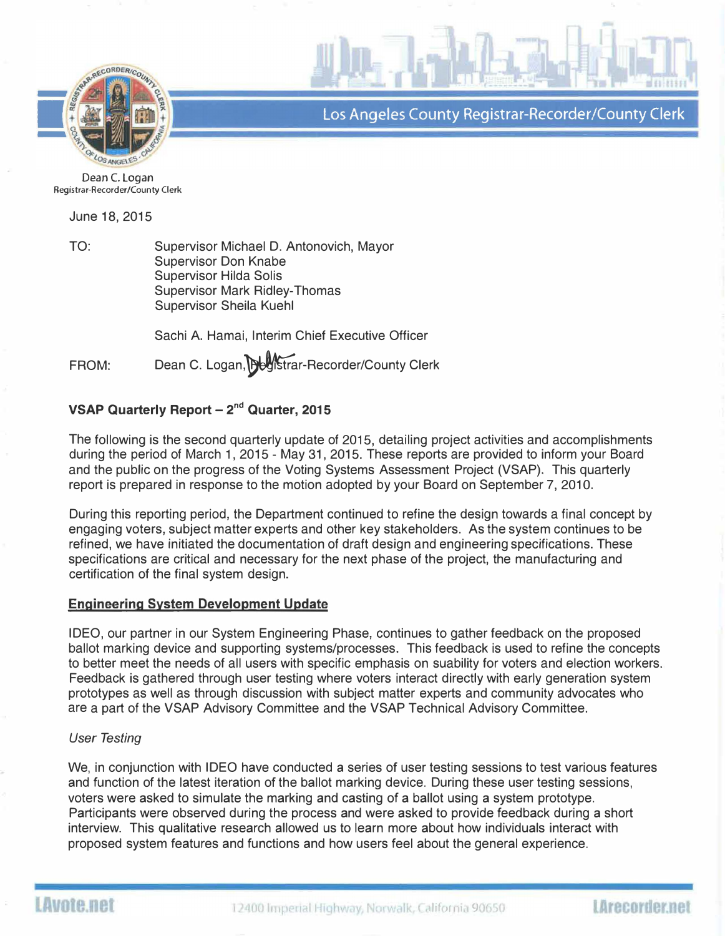

Los Angeles County Registrar-Recorder/County Clerk

Dean C. Logan Registrar-Recorder/County Clerk

June 18, 2015

TO: Supervisor Michael D. Antonovich, Mayor Supervisor Don Knabe Supervisor Hilda Solis Supervisor Mark Ridley-Thomas Supervisor Sheila Kuehl

Sachi A. Hamai, Interim Chief Executive Officer

FROM: Dean C. Logan, Degistrar-Recorder/County Clerk

# VSAP Quarterly Report – 2<sup>nd</sup> Quarter, 2015

The following is the second quarterly update of 2015, detailing project activities and accomplishments during the period of March 1, 2015 - May 31, 2015. These reports are provided to inform your Board and the public on the progress of the Voting Systems Assessment Project (VSAP). This quarterly report is prepared in response to the motion adopted by your Board on September 7, 2010.

During this reporting period, the Department continued to refine the design towards a final concept by engaging voters, subject matter experts and other key stakeholders. As the system continues to be refined, we have initiated the documentation of draft design and engineering specifications. These specifications are critical and necessary for the next phase of the project, the manufacturing and certification of the final system design.

## Engineering System Development Update

IDEO, our partner in our System Engineering Phase, continues to gather feedback on the proposed ballot marking device and supporting systems/processes. This feedback is used to refine the concepts to better meet the needs of all users with specific emphasis on suability for voters and election workers. Feedback is gathered through user testing where voters interact directly with early generation system prototypes as well as through discussion with subject matter experts and community advocates who are a part of the VSAP Advisory Committee and the VSAP Technical Advisory Committee.

## User Testing

We, in conjunction with IDEO have conducted a series of user testing sessions to test various features and function of the latest iteration of the ballot marking device. During these user testing sessions, voters were asked to simulate the marking and casting of a ballot using a system prototype. Participants were observed during the process and were asked to provide feedback during a short interview. This qualitative research allowed us to learn more about how individuals interact with proposed system features and functions and how users feel about the general experience.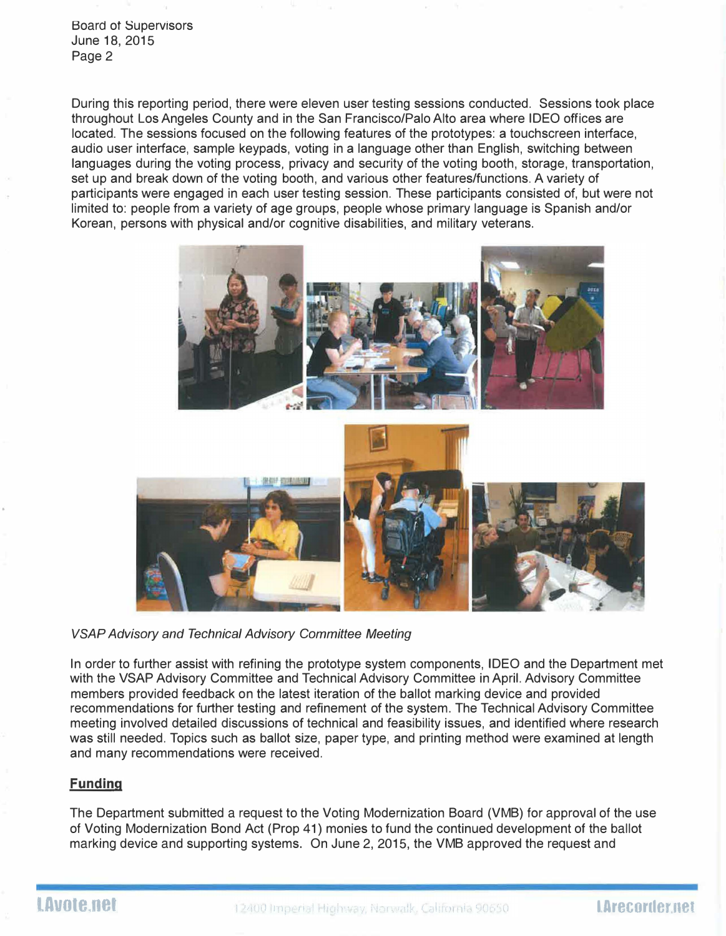Board ot §upervisors June 18, 2015 Page 2

During this reporting period, there were eleven user testing sessions conducted. Sessions took place throughout Los Angeles County and in the San Francisco/Palo Alto area where IDEO offices are located. The sessions focused on the following features of the prototypes: a touchscreen interface, audio user interface, sample keypads, voting in a language other than English, switching between languages during the voting process, privacy and security of the voting booth, storage, transportation, set up and break down of the voting booth, and various other features/functions. A variety of participants were engaged in each user testing session. These participants consisted of, but were not limited to: people from a variety of age groups, people whose primary language is Spanish and/or Korean, persons with physical and/or cognitive disabilities, and military veterans.



VSAP Advisory and Technical Advisory Committee Meeting

In order to further assist with refining the prototype system components, IDEO and the Department met with the VSAP Advisory Committee and Technical Advisory Committee in April. Advisory Committee members provided feedback on the latest iteration of the ballot marking device and provided recommendations for further testing and refinement of the system. The Technical Advisory Committee meeting involved detailed discussions of technical and feasibility issues, and identified where research was still needed. Topics such as ballot size, paper type, and printing method were examined at length and many recommendations were received.

# Funding

The Department submitted a request to the Voting Modernization Board (VMB) for approval of the use of Voting Modernization Bond Act (Prop 41) monies to fund the continued development of the ballot marking device and supporting systems. On June 2, 2015, the VMB approved the request and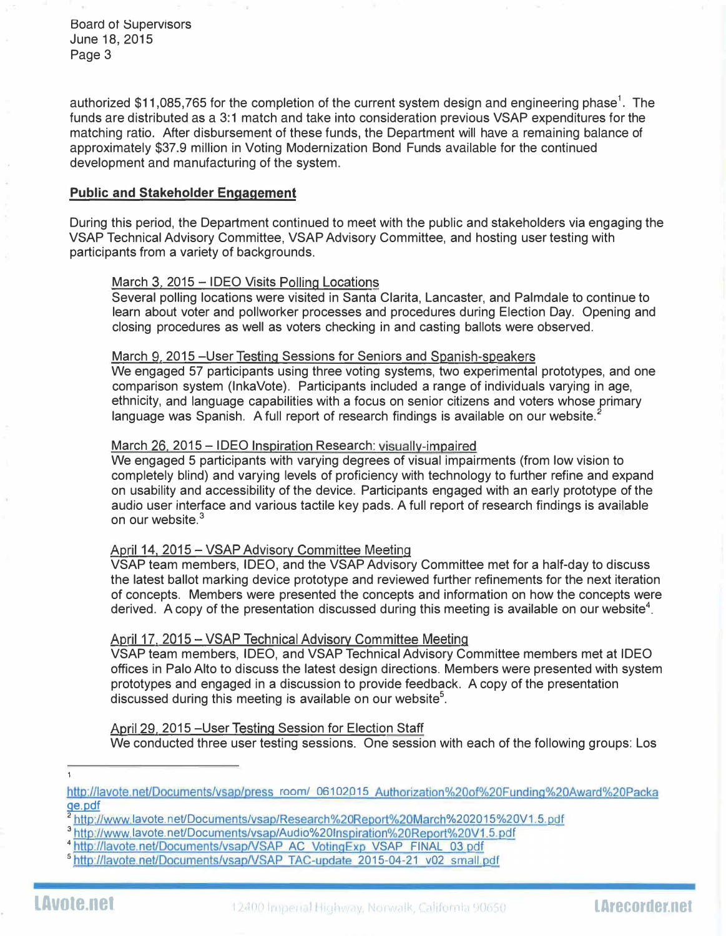Board ot Supervisors June 18, 2015 Page 3

authorized \$11,085, 765 for the completion of the current system design and engineering phase<sup>1</sup>. The funds are distributed as a 3:1 match and take into consideration previous VSAP expenditures for the matching ratio. After disbursement of these funds, the Department will have a remaining balance of approximately \$37.9 million in Voting Modernization Bond Funds available for the continued development and manufacturing of the system.

### <u>Public and Stakeholder Engagement</u>

During this period, the Department continued to meet with the public and stakeholders via engaging the VSAP Technical Advisory Committee, VSAP Advisory Committee, and hosting user testing with participants from a variety of backgrounds.

## <u> March 3, 2015 – IDEO Visits Polling Locations</u>

learn about voter and pollworker processes and procedures during Election Day. Opening and closing procedures as well as voters checking in and casting ballots were observed. Several polling locations were visited in Santa Clarita, Lancaster, and Palmdale to continue to

### <u>March 9, 2015 –User Testing Sessions for Seniors and Spanish-speakers</u>

We engaged 57 participants using three voting systems, two experimental prototypes, and one comparison system (lnkaVote). Participants included a range of individuals varying in age, ethnicity, and language capabilities with a focus on senior citizens and voters whose primary language was Spanish. A full report of research findings is available on our website.<sup>2</sup>

### <u> March 26, 2015 – IDEO Inspiration Research: visually-impaired</u>

We engaged 5 participants with varying degrees of visual impairments (from low vision to completely blind) and varying levels of proficiency with technology to further refine and expand on usability and accessibility of the device. Participants engaged with an early prototype of the audio user interface and various tactile key pads. A full report of research findings is available on our website.<sup>3</sup>

## April 14, 2015 - VSAP Advisory Committee Meeting

VSAP team members, IDEO, and the VSAP Advisory Committee met for a half-day to discuss the latest ballot marking device prototype and reviewed further refinements for the next iteration of concepts. Members were presented the concepts and information on how the concepts were derived. A copy of the presentation discussed during this meeting is available on our website<sup>4</sup>.

## April 17, 2015 - VSAP Technical Advisory Committee Meeting

VSAP team members, IDEO, and VSAP Technical Advisory Committee members met at IDEO offices in Palo Alto to discuss the latest design directions. Members were presented with system prototypes and engaged in a discussion to provide feedback. A copy of the presentation discussed during this meeting is available on our website<sup>5</sup>.

### <u>April 29, 2015 –User Testing Session for Election Staff</u>

We conducted three user testing sessions. One session with each of the following groups: Los

http://lavote.net/Documents/vsap/press\_room/\_06102015\_Authorization%20of%20Funding%20Award%20Packa ge.pdf

<sup>1&</sup>lt;u>http://www.lavote.net/Documents/vsap/Research%20Report%20March%202015%20V1.5.pdf</u>

**http://www.lavote.net/Documents/vsap/Audio%20Inspiration%20Report%20V1.5.pdf** 

http://lavote.net/Documents/vsap/VSAP AC VotingExp VSAP FINAL 03.pdf

**http://lavote.net/Documents/vsap/VSAP TAC-update 2015-04-21 v02 small.pdf**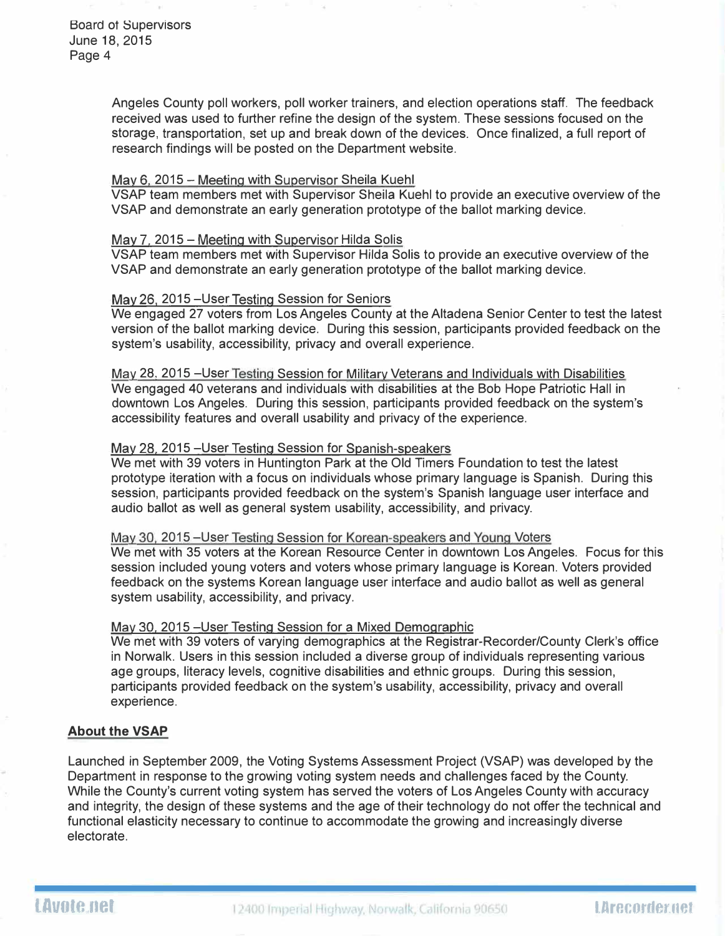Board ot Supervisors June 18, 2015 Page 4

> Angeles County poll workers, poll worker trainers, and election operations staff. The feedback received was used to further refine the design of the system. These sessions focused on the storage, transportation, set up and break down of the devices. Once finalized, a full report of research findings will be posted on the Department website.

### <u>May 6, 2015 – Meeting with Supervisor Sheila Kuehl</u>

VSAP team members met with Supervisor Sheila Kuehl to provide an executive overview of the VSAP and demonstrate an early generation prototype of the ballot marking device.

### <u> May 7, 2015 – Meeting with Supervisor Hilda Solis</u>

VSAP team members met With Supervisor Hilda Solis to provide an executive overview of the VSAP and demonstrate an early generation prototype of the ballot marking device.

## <u>May 26, 2015 –User Testing Session for Seniors</u>

We engaged 27 voters from Los Angeles County at the Altadena Senior Center to test the latest version of the ballot marking device. During this session, participants provided feedback on the system's usability, accessibility, privacy and overall experience.

<u>May 28, 2015 –User Testing Session for Military Veterans and Individuals with Disabilities</u> We engaged 40 veterans and individuals with disabilities at the Bob Hope Patriotic Hall in downtown Los Angeles. During this session, participants provided feedback on the system's accessibility features and overall usability and privacy of the experience.

#### <u>May 28, 2015 –User Testing Session for Spanish-speakers</u>

We met with 39 voters in Huntington Park at the Old Timers Foundation to test the latest prototype iteration with a focus on individuals whose primary language is Spanish. During this session, participants provided feedback on the system's Spanish language user interface and audio ballot as well as general system usability, accessibility, and privacy.

#### <u>May 30, 2015 –User Testing Session for Korean-speakers and Young Voters</u>

We met with 35 voters at the Korean Resource Center in downtown Los Angeles. Focus for this session included young voters and voters whose primary language is Korean. Voters provided feedback on the systems Korean language user interface and audio ballot as well as general system usability, accessibility, and privacy.

#### <u>May 30, 2015 –User Testing Session for a Mixed Demographic </u>

We met with 39 voters of varying demographics at the Registrar-Recorder/County Clerk's office in Norwalk. Users in this session included a diverse group of individuals representing various age groups, literacy levels, cognitive disabilities and ethnic groups. During this session, participants provided feedback on the system's usability, accessibility, privacy and overall experience.

#### About the VSAP

Launched in September 2009, the Voting Systems Assessment Project (VSAP) was developed by the Department in response to the growing voting system needs and challenges faced by the County. While the County's current voting system has served the voters of Los Angeles County with accuracy and integrity, the design of these systems and the age of their technology do not offer the technical and functional elasticity necessary to continue to accommodate the growing and increasingly diverse electorate.